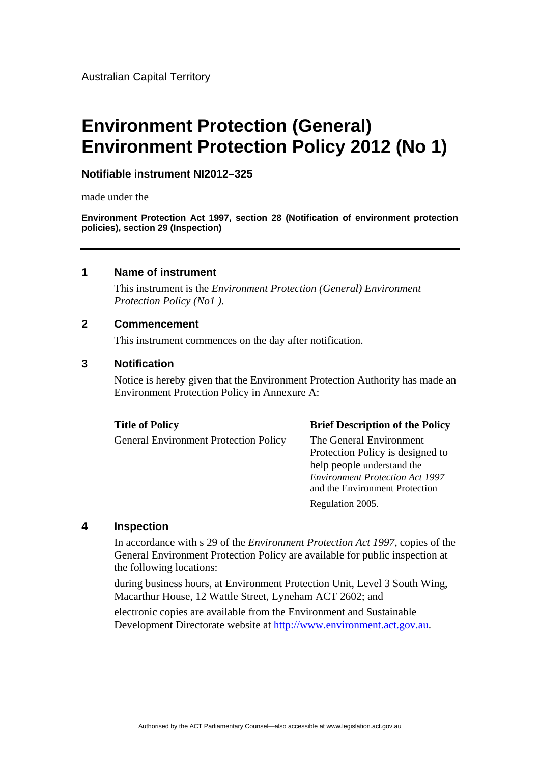# **Environment Protection (General) Environment Protection Policy 2012 (No 1)**

#### **Notifiable instrument NI2012–325**

made under the

**Environment Protection Act 1997, section 28 (Notification of environment protection policies), section 29 (Inspection)**

#### **1 Name of instrument**

This instrument is the *Environment Protection (General) Environment Protection Policy (No1 )*.

#### **2 Commencement**

This instrument commences on the day after notification.

#### **3 Notification**

Notice is hereby given that the Environment Protection Authority has made an Environment Protection Policy in Annexure A:

General Environment Protection Policy The General Environment

#### **Title of Policy Brief Description of the Policy**

Protection Policy is designed to help people understand the *Environment Protection Act 1997*  and the Environment Protection Regulation 2005.

#### **4 Inspection**

In accordance with s 29 of the *Environment Protection Act 1997*, copies of the General Environment Protection Policy are available for public inspection at the following locations:

during business hours, at Environment Protection Unit, Level 3 South Wing, Macarthur House, 12 Wattle Street, Lyneham ACT 2602; and

electronic copies are available from the Environment and Sustainable Development Directorate website at [http://www.environment.act.gov.au.](http://www.environment.act.gov.au/)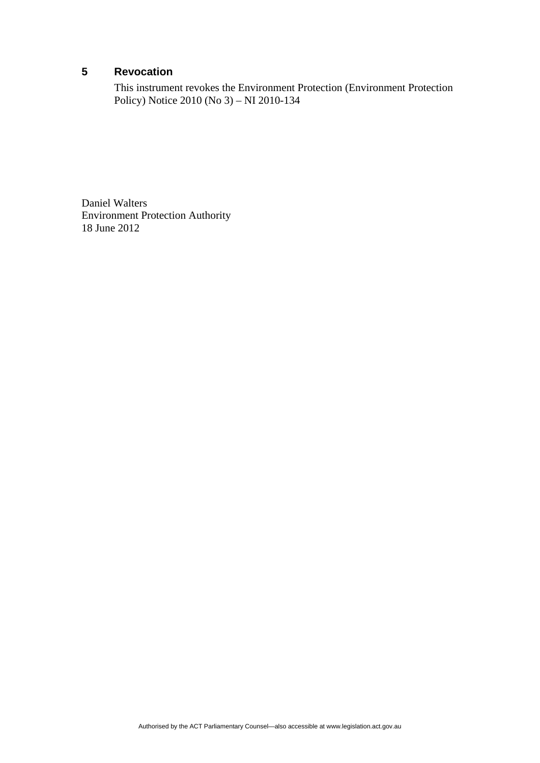# **5 Revocation**

This instrument revokes the Environment Protection (Environment Protection Policy) Notice 2010 (No 3) – NI 2010-134

Daniel Walters Environment Protection Authority 18 June 2012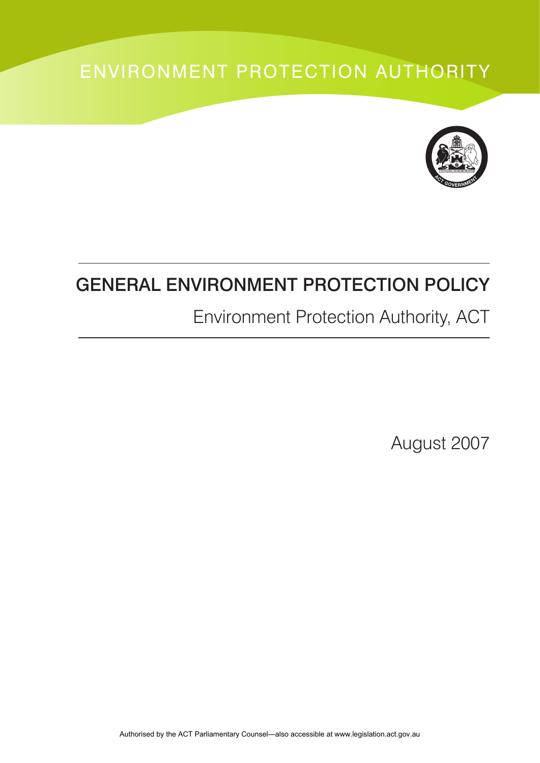# ENVIRONMENT PROTECTION AUTHORITY



# GENERAL ENVIRONMENT PROTECTION POLICY

# Environment Protection Authority, ACT

August 2007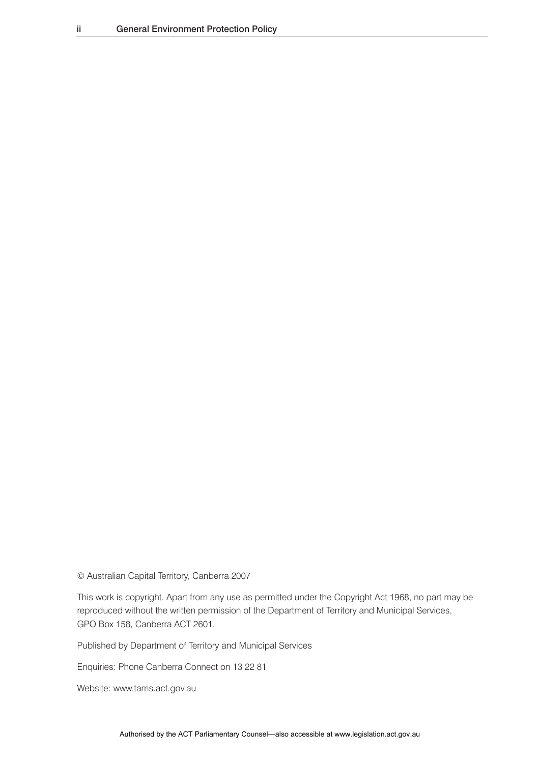© Australian Capital Territory, Canberra 2007

This work is copyright. Apart from any use as permitted under the Copyright Act 1968, no part may be reproduced without the written permission of the Department of Territory and Municipal Services, GPO Box 158, Canberra ACT 2601.

Published by Department of Territory and Municipal Services

Enquiries: Phone Canberra Connect on 13 22 81

Website: www.tams.act.gov.au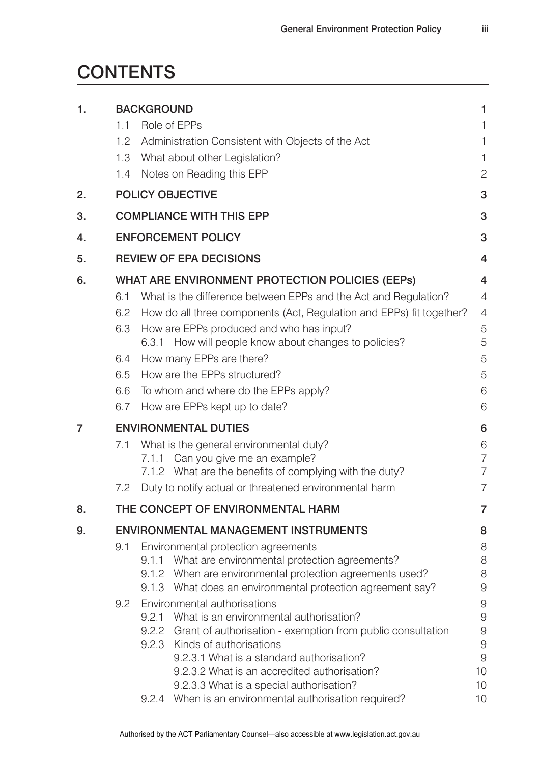# **CONTENTS**

| 1. | <b>BACKGROUND</b>              |                                                                                                                 |                |  |  |
|----|--------------------------------|-----------------------------------------------------------------------------------------------------------------|----------------|--|--|
|    | 1.1                            | Role of EPPs                                                                                                    |                |  |  |
|    | 1.2                            | Administration Consistent with Objects of the Act                                                               |                |  |  |
|    | 1.3                            | What about other Legislation?                                                                                   |                |  |  |
|    | 1.4                            | Notes on Reading this EPP                                                                                       | 2              |  |  |
| 2. |                                | <b>POLICY OBJECTIVE</b>                                                                                         |                |  |  |
| 3. |                                | <b>COMPLIANCE WITH THIS EPP</b><br>3                                                                            |                |  |  |
| 4. |                                | <b>ENFORCEMENT POLICY</b><br>3                                                                                  |                |  |  |
| 5. | <b>REVIEW OF EPA DECISIONS</b> |                                                                                                                 |                |  |  |
| 6. |                                | <b>WHAT ARE ENVIRONMENT PROTECTION POLICIES (EEPS)</b>                                                          |                |  |  |
|    | 6.1                            | What is the difference between EPPs and the Act and Regulation?                                                 | $\overline{4}$ |  |  |
|    | 6.2                            | How do all three components (Act, Regulation and EPPs) fit together?                                            | $\overline{4}$ |  |  |
|    | 6.3                            | How are EPPs produced and who has input?                                                                        | 5              |  |  |
|    |                                | 6.3.1 How will people know about changes to policies?                                                           | 5              |  |  |
|    | 6.4                            | How many EPPs are there?                                                                                        | 5              |  |  |
|    | 6.5                            | How are the EPPs structured?                                                                                    | 5              |  |  |
|    | 6.6                            | To whom and where do the EPPs apply?                                                                            | 6              |  |  |
|    | 6.7                            | How are EPPs kept up to date?                                                                                   | 6              |  |  |
| 7  |                                | <b>ENVIRONMENTAL DUTIES</b><br>6                                                                                |                |  |  |
|    | 7.1                            | What is the general environmental duty?                                                                         | 6              |  |  |
|    |                                | Can you give me an example?<br>7.1.1                                                                            | 7              |  |  |
|    |                                | 7.1.2 What are the benefits of complying with the duty?                                                         | 7              |  |  |
|    | 7.2                            | Duty to notify actual or threatened environmental harm                                                          | 7              |  |  |
| 8. |                                | THE CONCEPT OF ENVIRONMENTAL HARM                                                                               | 7              |  |  |
| 9. |                                | <b>ENVIRONMENTAL MANAGEMENT INSTRUMENTS</b>                                                                     | 8              |  |  |
|    | 9.1                            | Environmental protection agreements                                                                             | 8              |  |  |
|    |                                | 9.1.1 What are environmental protection agreements?<br>9.1.2 When are environmental protection agreements used? | 8<br>8         |  |  |
|    |                                | 9.1.3 What does an environmental protection agreement say?                                                      | 9              |  |  |
|    | 9.2                            | Environmental authorisations                                                                                    | 9              |  |  |
|    |                                | What is an environmental authorisation?<br>9.2.1                                                                | 9              |  |  |
|    |                                | 9.2.2 Grant of authorisation - exemption from public consultation                                               | 9              |  |  |
|    |                                | Kinds of authorisations<br>9.2.3                                                                                | 9              |  |  |
|    |                                | 9.2.3.1 What is a standard authorisation?                                                                       | 9              |  |  |
|    |                                | 9.2.3.2 What is an accredited authorisation?                                                                    | 10             |  |  |
|    |                                | 9.2.3.3 What is a special authorisation?                                                                        | 10             |  |  |
|    |                                | 9.2.4 When is an environmental authorisation required?                                                          | 10             |  |  |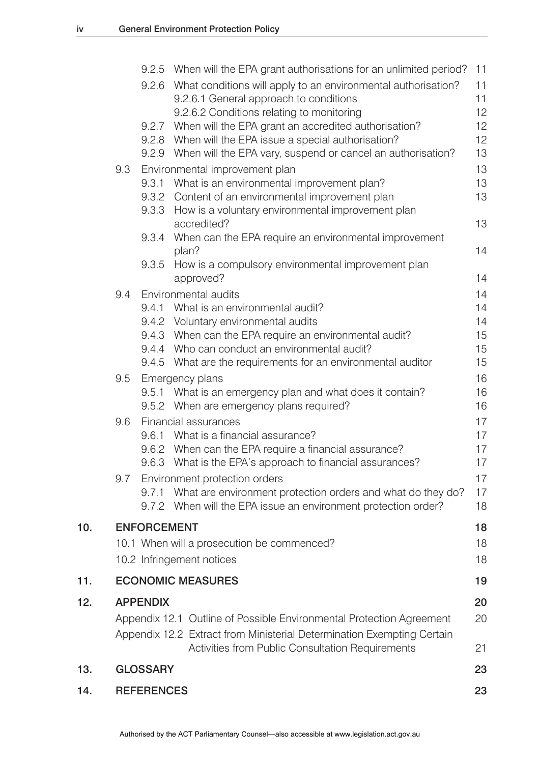|     |                   |                    | 9.2.5 When will the EPA grant authorisations for an unlimited period?                          | 11       |
|-----|-------------------|--------------------|------------------------------------------------------------------------------------------------|----------|
|     |                   | 9.2.6              | What conditions will apply to an environmental authorisation?                                  | 11       |
|     |                   |                    | 9.2.6.1 General approach to conditions                                                         | 11       |
|     |                   |                    | 9.2.6.2 Conditions relating to monitoring                                                      | 12       |
|     |                   |                    | 9.2.7 When will the EPA grant an accredited authorisation?                                     | 12       |
|     |                   |                    | 9.2.8 When will the EPA issue a special authorisation?                                         | 12       |
|     |                   |                    | 9.2.9 When will the EPA vary, suspend or cancel an authorisation?                              | 13       |
|     | 9.3               |                    | Environmental improvement plan                                                                 | 13       |
|     |                   |                    | 9.3.1 What is an environmental improvement plan?                                               | 13       |
|     |                   |                    | 9.3.2 Content of an environmental improvement plan                                             | 13       |
|     |                   |                    | 9.3.3 How is a voluntary environmental improvement plan                                        |          |
|     |                   |                    | accredited?                                                                                    | 13       |
|     |                   |                    | 9.3.4 When can the EPA require an environmental improvement                                    |          |
|     |                   |                    | plan?                                                                                          | 14       |
|     |                   |                    | 9.3.5 How is a compulsory environmental improvement plan                                       | 14       |
|     |                   |                    | approved?                                                                                      |          |
|     | 9.4               |                    | Environmental audits                                                                           | 14       |
|     |                   |                    | 9.4.1 What is an environmental audit?                                                          | 14<br>14 |
|     |                   |                    | 9.4.2 Voluntary environmental audits<br>9.4.3 When can the EPA require an environmental audit? | 15       |
|     |                   |                    | 9.4.4 Who can conduct an environmental audit?                                                  | 15       |
|     |                   |                    | 9.4.5 What are the requirements for an environmental auditor                                   | 15       |
|     | 9.5               |                    | Emergency plans                                                                                | 16       |
|     |                   |                    | 9.5.1 What is an emergency plan and what does it contain?                                      | 16       |
|     |                   |                    | 9.5.2 When are emergency plans required?                                                       | 16       |
|     | 9.6               |                    | Financial assurances                                                                           | 17       |
|     |                   |                    | 9.6.1 What is a financial assurance?                                                           | 17       |
|     |                   |                    | 9.6.2 When can the EPA require a financial assurance?                                          | 17       |
|     |                   |                    | 9.6.3 What is the EPA's approach to financial assurances?                                      | 17       |
|     | 9.7               |                    | Environment protection orders                                                                  | 17       |
|     |                   | 9.7.1              | What are environment protection orders and what do they do?                                    | 17       |
|     |                   |                    | 9.7.2 When will the EPA issue an environment protection order?                                 | 18       |
|     |                   |                    |                                                                                                |          |
| 10. |                   | <b>ENFORCEMENT</b> |                                                                                                | 18       |
|     |                   |                    | 10.1 When will a prosecution be commenced?                                                     | 18       |
|     |                   |                    | 10.2 Infringement notices                                                                      | 18       |
| 11. |                   |                    | <b>ECONOMIC MEASURES</b>                                                                       | 19       |
| 12. |                   | <b>APPENDIX</b>    |                                                                                                | 20       |
|     |                   |                    | Appendix 12.1 Outline of Possible Environmental Protection Agreement                           | 20       |
|     |                   |                    | Appendix 12.2 Extract from Ministerial Determination Exempting Certain                         |          |
|     |                   |                    | <b>Activities from Public Consultation Requirements</b>                                        | 21       |
|     |                   |                    |                                                                                                |          |
| 13. |                   | <b>GLOSSARY</b>    |                                                                                                | 23       |
| 14. | <b>REFERENCES</b> |                    |                                                                                                |          |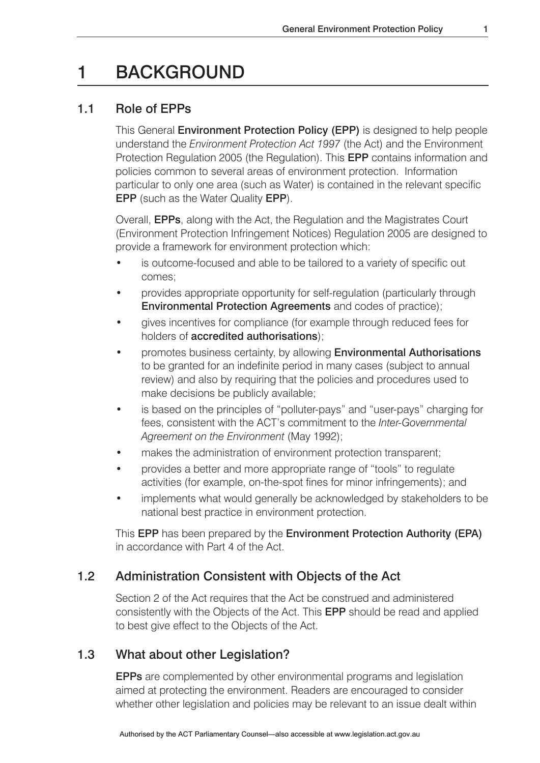# 1 BACKGROUND

# 1.1 Role of EPPs

This General Environment Protection Policy (EPP) is designed to help people understand the *Environment Protection Act 1997* (the Act) and the Environment Protection Regulation 2005 (the Regulation). This EPP contains information and policies common to several areas of environment protection. Information particular to only one area (such as Water) is contained in the relevant specific EPP (such as the Water Quality EPP).

Overall, EPPs, along with the Act, the Regulation and the Magistrates Court (Environment Protection Infringement Notices) Regulation 2005 are designed to provide a framework for environment protection which:

- is outcome-focused and able to be tailored to a variety of specific out comes;
- provides appropriate opportunity for self-regulation (particularly through Environmental Protection Agreements and codes of practice);
- gives incentives for compliance (for example through reduced fees for holders of accredited authorisations);
- promotes business certainty, by allowing **Environmental Authorisations**  to be granted for an indefinite period in many cases (subject to annual review) and also by requiring that the policies and procedures used to make decisions be publicly available;
- is based on the principles of "polluter-pays" and "user-pays" charging for fees, consistent with the ACT's commitment to the *Inter-Governmental Agreement on the Environment* (May 1992);
- makes the administration of environment protection transparent;
- provides a better and more appropriate range of "tools" to regulate activities (for example, on-the-spot fines for minor infringements); and
- implements what would generally be acknowledged by stakeholders to be national best practice in environment protection.

This EPP has been prepared by the Environment Protection Authority (EPA) in accordance with Part 4 of the Act.

# 1.2 Administration Consistent with Objects of the Act

Section 2 of the Act requires that the Act be construed and administered consistently with the Objects of the Act. This EPP should be read and applied to best give effect to the Objects of the Act.

# 1.3 What about other Legislation?

EPPs are complemented by other environmental programs and legislation aimed at protecting the environment. Readers are encouraged to consider whether other legislation and policies may be relevant to an issue dealt within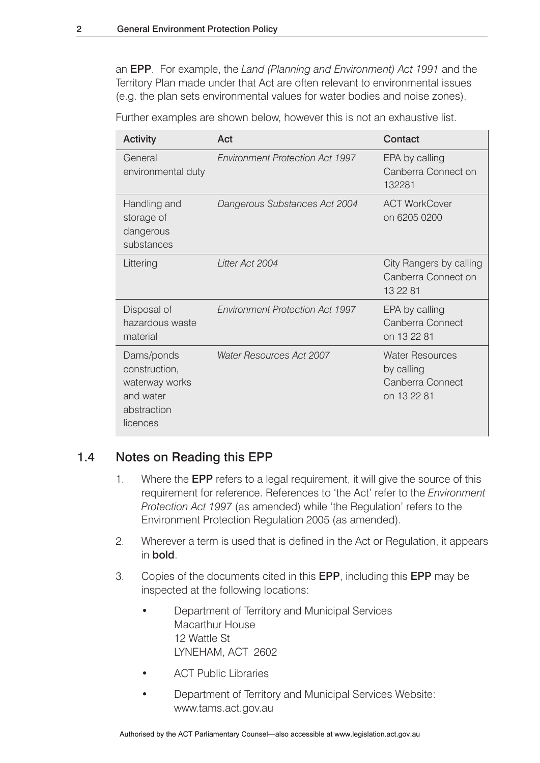an EPP. For example, the *Land (Planning and Environment) Act 1991* and the Territory Plan made under that Act are often relevant to environmental issues (e.g. the plan sets environmental values for water bodies and noise zones).

Further examples are shown below, however this is not an exhaustive list.

|  | <b>Activity</b>                                                                       | Act                                    | Contact                                                                 |
|--|---------------------------------------------------------------------------------------|----------------------------------------|-------------------------------------------------------------------------|
|  | General<br>environmental duty                                                         | <b>Environment Protection Act 1997</b> | EPA by calling<br>Canberra Connect on<br>132281                         |
|  | Handling and<br>storage of<br>dangerous<br>substances                                 | Dangerous Substances Act 2004          | <b>ACT WorkCover</b><br>on 6205 0200                                    |
|  | Littering                                                                             | Litter Act 2004                        | City Rangers by calling<br>Canberra Connect on<br>13 22 81              |
|  | Disposal of<br>hazardous waste<br>material                                            | <b>Environment Protection Act 1997</b> | EPA by calling<br>Canberra Connect<br>on 13 22 81                       |
|  | Dams/ponds<br>construction,<br>waterway works<br>and water<br>abstraction<br>licences | <b>Water Resources Act 2007</b>        | <b>Water Resources</b><br>by calling<br>Canberra Connect<br>on 13 22 81 |

# 1.4 Notes on Reading this EPP

- 1. Where the EPP refers to a legal requirement, it will give the source of this requirement for reference. References to 'the Act' refer to the *Environment Protection Act 1997* (as amended) while 'the Regulation' refers to the Environment Protection Regulation 2005 (as amended).
- 2. Wherever a term is used that is defined in the Act or Regulation, it appears in bold.
- 3. Copies of the documents cited in this EPP, including this EPP may be inspected at the following locations:
	- Department of Territory and Municipal Services Macarthur House 12 Wattle St LYNEHAM, ACT 2602
	- **ACT Public Libraries**
	- Department of Territory and Municipal Services Website: www.tams.act.gov.au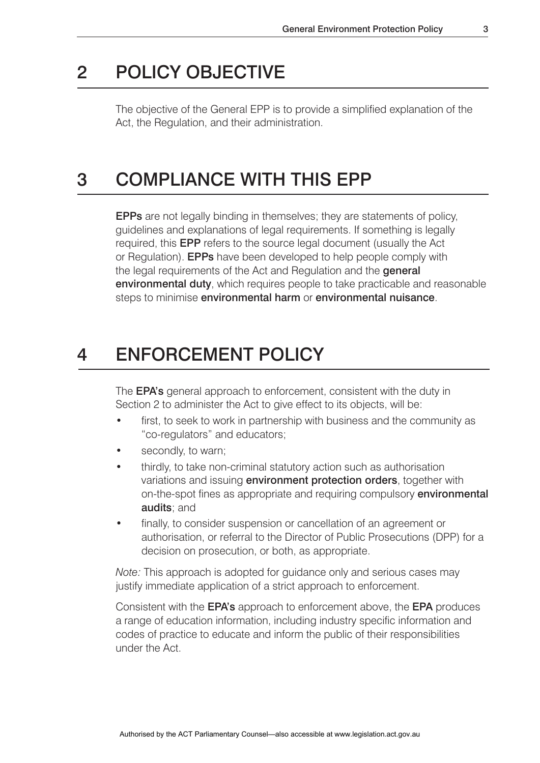# 2 POLICY OBJECTIVE

The objective of the General EPP is to provide a simplified explanation of the Act, the Regulation, and their administration.

# 3 COMPLIANCE WITH THIS EPP

EPPs are not legally binding in themselves; they are statements of policy, guidelines and explanations of legal requirements. If something is legally required, this EPP refers to the source legal document (usually the Act or Regulation). EPPs have been developed to help people comply with the legal requirements of the Act and Regulation and the **general** environmental duty, which requires people to take practicable and reasonable steps to minimise environmental harm or environmental nuisance.

# 4 ENFORCEMENT POLICY

The **EPA's** general approach to enforcement, consistent with the duty in Section 2 to administer the Act to give effect to its objects, will be:

- first, to seek to work in partnership with business and the community as "co-regulators" and educators;
- secondly, to warn;
- thirdly, to take non-criminal statutory action such as authorisation variations and issuing **environment protection orders**, together with on-the-spot fines as appropriate and requiring compulsory environmental audits; and
- finally, to consider suspension or cancellation of an agreement or authorisation, or referral to the Director of Public Prosecutions (DPP) for a decision on prosecution, or both, as appropriate.

*Note:* This approach is adopted for guidance only and serious cases may justify immediate application of a strict approach to enforcement.

Consistent with the EPA's approach to enforcement above, the EPA produces a range of education information, including industry specific information and codes of practice to educate and inform the public of their responsibilities under the Act.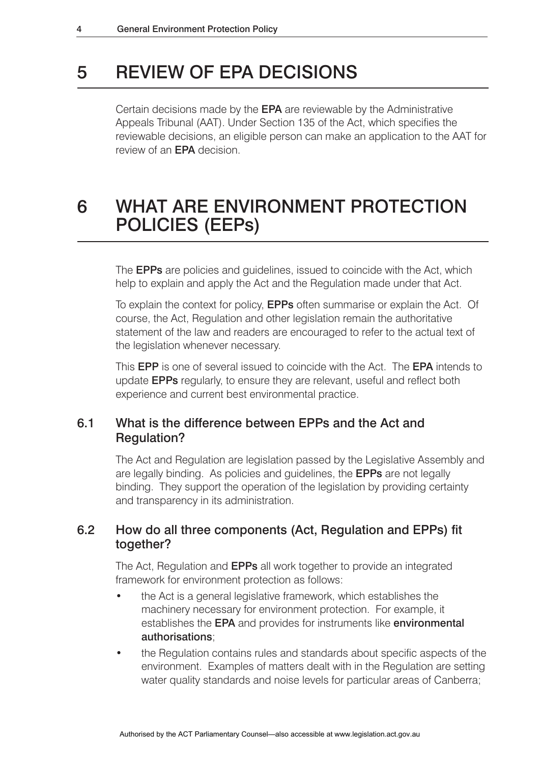# 5 REVIEW OF EPA DECISIONS

Certain decisions made by the EPA are reviewable by the Administrative Appeals Tribunal (AAT). Under Section 135 of the Act, which specifies the reviewable decisions, an eligible person can make an application to the AAT for review of an EPA decision.

# <sup>6</sup> WHAT ARE ENVIRONMENT PROTECTION POLICIES (EEPs)

The EPPs are policies and guidelines, issued to coincide with the Act, which help to explain and apply the Act and the Regulation made under that Act.

To explain the context for policy, EPPs often summarise or explain the Act. Of course, the Act, Regulation and other legislation remain the authoritative statement of the law and readers are encouraged to refer to the actual text of the legislation whenever necessary.

This EPP is one of several issued to coincide with the Act. The EPA intends to update EPPs regularly, to ensure they are relevant, useful and reflect both experience and current best environmental practice.

# 6.1 What is the difference between EPPs and the Act and Regulation?

The Act and Regulation are legislation passed by the Legislative Assembly and are legally binding. As policies and guidelines, the EPPs are not legally binding. They support the operation of the legislation by providing certainty and transparency in its administration.

# 6.2 How do all three components (Act, Regulation and EPPs) fit together?

The Act, Regulation and EPPs all work together to provide an integrated framework for environment protection as follows:

- the Act is a general legislative framework, which establishes the machinery necessary for environment protection. For example, it establishes the **EPA** and provides for instruments like **environmental** authorisations;
- the Regulation contains rules and standards about specific aspects of the environment. Examples of matters dealt with in the Regulation are setting water quality standards and noise levels for particular areas of Canberra;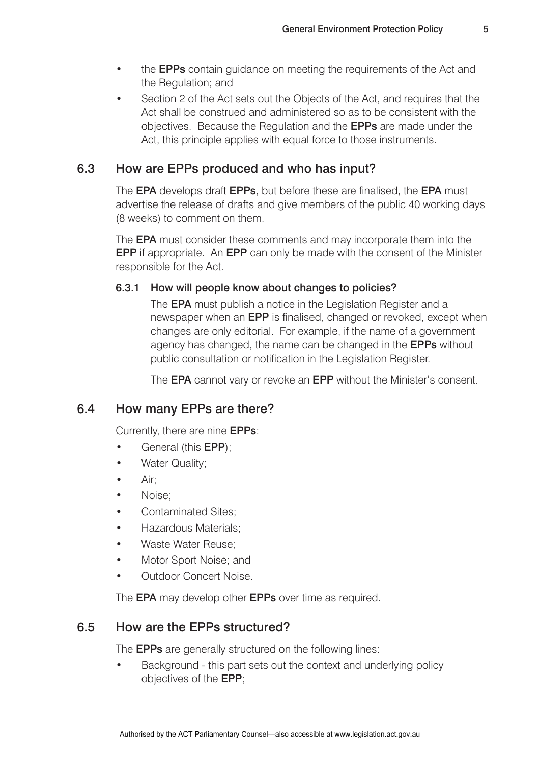- the **EPPs** contain guidance on meeting the requirements of the Act and the Regulation; and
- Section 2 of the Act sets out the Objects of the Act, and requires that the Act shall be construed and administered so as to be consistent with the objectives. Because the Regulation and the EPPs are made under the Act, this principle applies with equal force to those instruments.

# 6.3 How are EPPs produced and who has input?

The **EPA** develops draft **EPPs**, but before these are finalised, the **EPA** must advertise the release of drafts and give members of the public 40 working days (8 weeks) to comment on them.

The **EPA** must consider these comments and may incorporate them into the EPP if appropriate. An EPP can only be made with the consent of the Minister responsible for the Act.

#### 6.3.1 How will people know about changes to policies?

 The EPA must publish a notice in the Legislation Register and a newspaper when an EPP is finalised, changed or revoked, except when changes are only editorial. For example, if the name of a government agency has changed, the name can be changed in the EPPs without public consultation or notification in the Legislation Register.

The **EPA** cannot vary or revoke an **EPP** without the Minister's consent.

# 6.4 How many EPPs are there?

Currently, there are nine EPPs:

- General (this **EPP**);
- Water Quality;
- Air:
- Noise;
- Contaminated Sites;
- Hazardous Materials;
- Waste Water Reuse;
- Motor Sport Noise; and
- Outdoor Concert Noise.

The **EPA** may develop other **EPPs** over time as required.

# 6.5 How are the EPPs structured?

The EPPs are generally structured on the following lines:

• Background - this part sets out the context and underlying policy objectives of the EPP;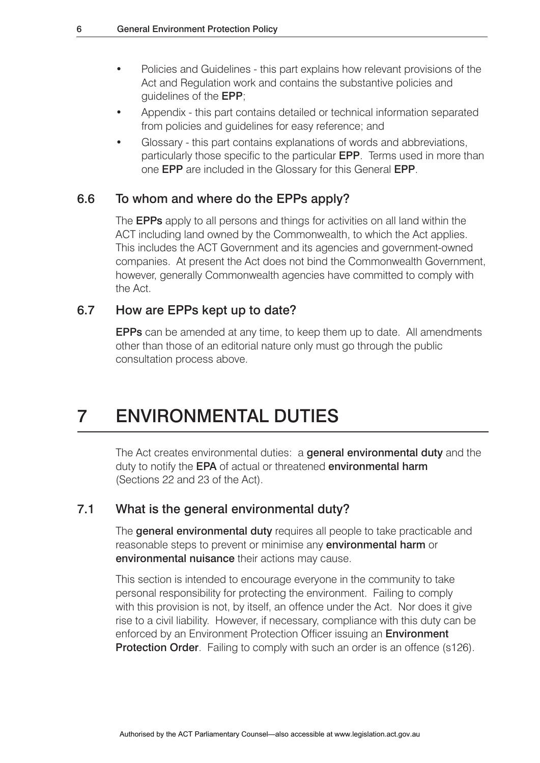- Policies and Guidelines this part explains how relevant provisions of the Act and Regulation work and contains the substantive policies and guidelines of the EPP;
- Appendix this part contains detailed or technical information separated from policies and guidelines for easy reference; and
- Glossary this part contains explanations of words and abbreviations, particularly those specific to the particular EPP. Terms used in more than one EPP are included in the Glossary for this General EPP.

### 6.6 To whom and where do the EPPs apply?

The **EPPs** apply to all persons and things for activities on all land within the ACT including land owned by the Commonwealth, to which the Act applies. This includes the ACT Government and its agencies and government-owned companies. At present the Act does not bind the Commonwealth Government, however, generally Commonwealth agencies have committed to comply with the Act.

# 6.7 How are EPPs kept up to date?

EPPs can be amended at any time, to keep them up to date. All amendments other than those of an editorial nature only must go through the public consultation process above.

# 7 ENVIRONMENTAL DUTIES

The Act creates environmental duties: a **general environmental duty** and the duty to notify the EPA of actual or threatened environmental harm (Sections 22 and 23 of the Act).

### 7.1 What is the general environmental duty?

The **general environmental duty** requires all people to take practicable and reasonable steps to prevent or minimise any **environmental harm** or environmental nuisance their actions may cause.

This section is intended to encourage everyone in the community to take personal responsibility for protecting the environment. Failing to comply with this provision is not, by itself, an offence under the Act. Nor does it give rise to a civil liability. However, if necessary, compliance with this duty can be enforced by an Environment Protection Officer issuing an **Environment Protection Order**. Failing to comply with such an order is an offence (s126).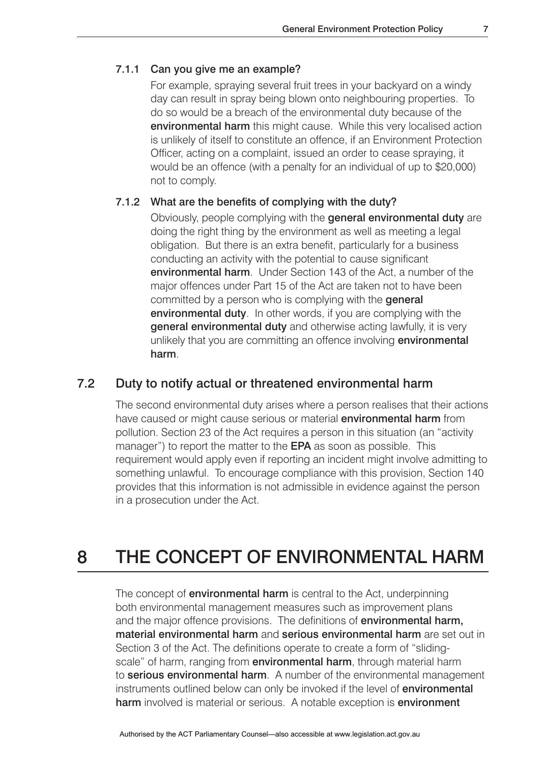#### 7.1.1 Can you give me an example?

 For example, spraying several fruit trees in your backyard on a windy day can result in spray being blown onto neighbouring properties. To do so would be a breach of the environmental duty because of the environmental harm this might cause. While this very localised action is unlikely of itself to constitute an offence, if an Environment Protection Officer, acting on a complaint, issued an order to cease spraying, it would be an offence (with a penalty for an individual of up to \$20,000) not to comply.

#### 7.1.2 What are the benefits of complying with the duty?

 Obviously, people complying with the general environmental duty are doing the right thing by the environment as well as meeting a legal obligation. But there is an extra benefit, particularly for a business conducting an activity with the potential to cause significant environmental harm. Under Section 143 of the Act, a number of the major offences under Part 15 of the Act are taken not to have been committed by a person who is complying with the **general**  environmental duty. In other words, if you are complying with the **general environmental duty** and otherwise acting lawfully, it is very unlikely that you are committing an offence involving **environmental** harm.

# 7.2 Duty to notify actual or threatened environmental harm

The second environmental duty arises where a person realises that their actions have caused or might cause serious or material **environmental harm** from pollution. Section 23 of the Act requires a person in this situation (an "activity manager") to report the matter to the **EPA** as soon as possible. This requirement would apply even if reporting an incident might involve admitting to something unlawful. To encourage compliance with this provision, Section 140 provides that this information is not admissible in evidence against the person in a prosecution under the Act.

# 8 THE CONCEPT OF ENVIRONMENTAL HARM

The concept of **environmental harm** is central to the Act, underpinning both environmental management measures such as improvement plans and the major offence provisions. The definitions of **environmental harm.** material environmental harm and serious environmental harm are set out in Section 3 of the Act. The definitions operate to create a form of "slidingscale" of harm, ranging from **environmental harm**, through material harm to serious environmental harm. A number of the environmental management instruments outlined below can only be invoked if the level of **environmental** harm involved is material or serious. A notable exception is environment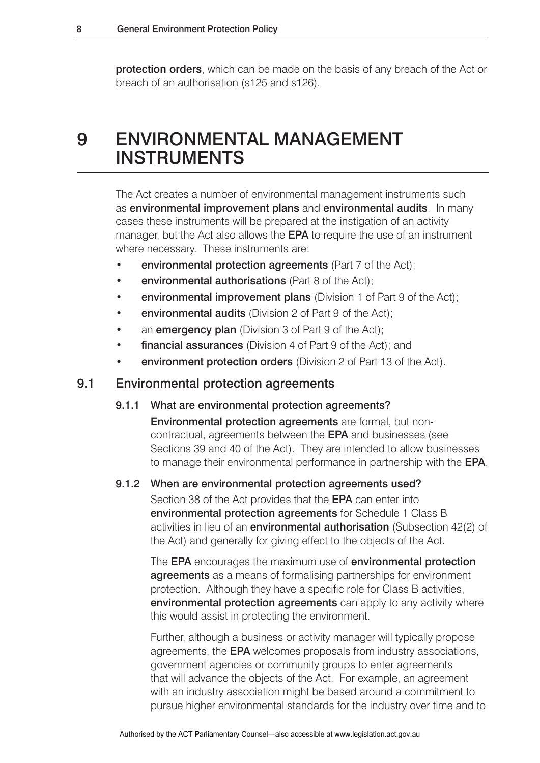protection orders, which can be made on the basis of any breach of the Act or breach of an authorisation (s125 and s126).

# 9 ENVIRONMENTAL MANAGEMENT INSTRUMENTS

The Act creates a number of environmental management instruments such as environmental improvement plans and environmental audits. In many cases these instruments will be prepared at the instigation of an activity manager, but the Act also allows the **EPA** to require the use of an instrument where necessary. These instruments are:

- environmental protection agreements (Part 7 of the Act);
- environmental authorisations (Part 8 of the Act);
- environmental improvement plans (Division 1 of Part 9 of the Act);
- environmental audits (Division 2 of Part 9 of the Act);
- an emergency plan (Division 3 of Part 9 of the Act);
- **financial assurances** (Division 4 of Part 9 of the Act); and
- environment protection orders (Division 2 of Part 13 of the Act).

### 9.1 Environmental protection agreements

#### 9.1.1 What are environmental protection agreements?

 Environmental protection agreements are formal, but non contractual, agreements between the EPA and businesses (see Sections 39 and 40 of the Act). They are intended to allow businesses to manage their environmental performance in partnership with the EPA.

#### 9.1.2 When are environmental protection agreements used?

 Section 38 of the Act provides that the EPA can enter into environmental protection agreements for Schedule 1 Class B activities in lieu of an **environmental authorisation** (Subsection 42(2) of the Act) and generally for giving effect to the objects of the Act.

The EPA encourages the maximum use of environmental protection **agreements** as a means of formalising partnerships for environment protection. Although they have a specific role for Class B activities, environmental protection agreements can apply to any activity where this would assist in protecting the environment.

 Further, although a business or activity manager will typically propose agreements, the EPA welcomes proposals from industry associations, government agencies or community groups to enter agreements that will advance the objects of the Act. For example, an agreement with an industry association might be based around a commitment to pursue higher environmental standards for the industry over time and to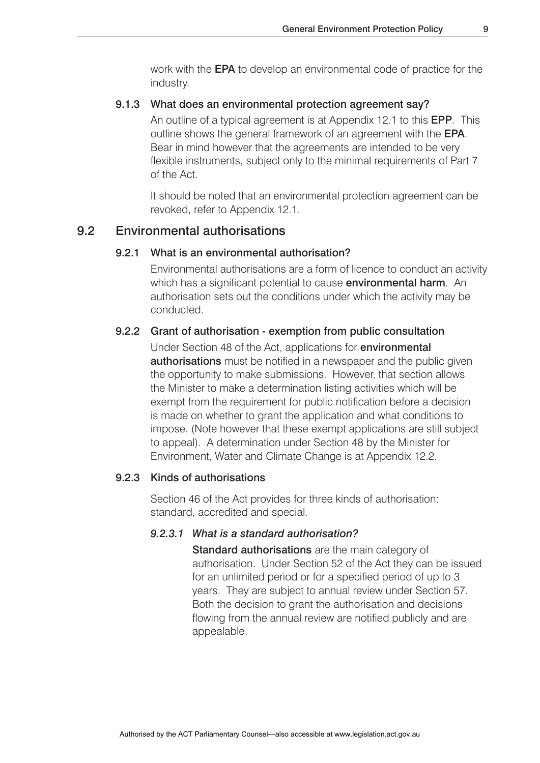work with the EPA to develop an environmental code of practice for the industry.

#### 9.1.3 What does an environmental protection agreement say?

 An outline of a typical agreement is at Appendix 12.1 to this EPP. This outline shows the general framework of an agreement with the EPA. Bear in mind however that the agreements are intended to be very flexible instruments, subject only to the minimal requirements of Part 7 of the Act.

 It should be noted that an environmental protection agreement can be revoked, refer to Appendix 12.1.

# 9.2 Environmental authorisations

### 9.2.1 What is an environmental authorisation?

 Environmental authorisations are a form of licence to conduct an activity which has a significant potential to cause **environmental harm**. An authorisation sets out the conditions under which the activity may be conducted.

#### 9.2.2 Grant of authorisation - exemption from public consultation

 Under Section 48 of the Act, applications for environmental **authorisations** must be notified in a newspaper and the public given the opportunity to make submissions. However, that section allows the Minister to make a determination listing activities which will be exempt from the requirement for public notification before a decision is made on whether to grant the application and what conditions to impose. (Note however that these exempt applications are still subject to appeal). A determination under Section 48 by the Minister for Environment, Water and Climate Change is at Appendix 12.2.

#### 9.2.3 Kinds of authorisations

 Section 46 of the Act provides for three kinds of authorisation: standard, accredited and special.

#### *9.2.3.1 What is a standard authorisation?*

Standard authorisations are the main category of authorisation. Under Section 52 of the Act they can be issued for an unlimited period or for a specified period of up to 3 years. They are subject to annual review under Section 57. Both the decision to grant the authorisation and decisions flowing from the annual review are notified publicly and are appealable.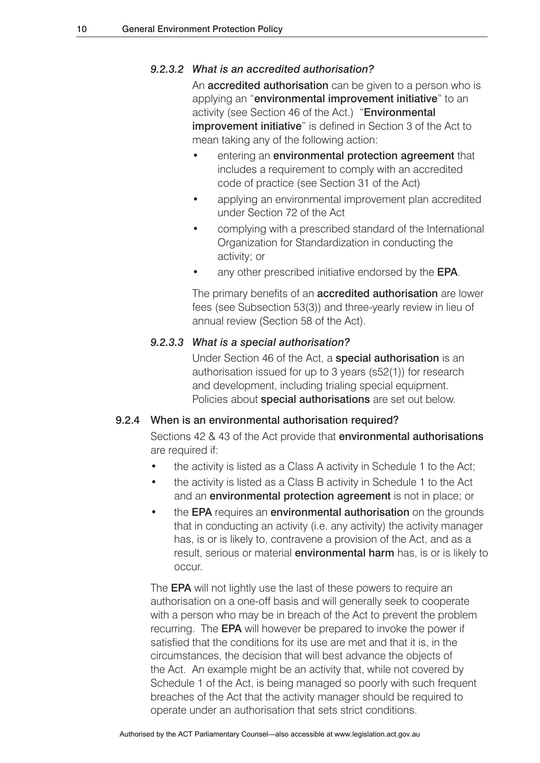### *9.2.3.2 What is an accredited authorisation?*

An **accredited authorisation** can be given to a person who is applying an "environmental improvement initiative" to an activity (see Section 46 of the Act.) "Environmental improvement initiative" is defined in Section 3 of the Act to mean taking any of the following action:

- entering an **environmental protection agreement** that includes a requirement to comply with an accredited code of practice (see Section 31 of the Act)
- applying an environmental improvement plan accredited under Section 72 of the Act
- complying with a prescribed standard of the International Organization for Standardization in conducting the activity; or
- any other prescribed initiative endorsed by the EPA.

The primary benefits of an **accredited authorisation** are lower fees (see Subsection 53(3)) and three-yearly review in lieu of annual review (Section 58 of the Act).

#### *9.2.3.3 What is a special authorisation?*

 Under Section 46 of the Act, a special authorisation is an authorisation issued for up to 3 years (s52(1)) for research and development, including trialing special equipment. Policies about special authorisations are set out below.

#### 9.2.4 When is an environmental authorisation required?

 Sections 42 & 43 of the Act provide that environmental authorisations are required if:

- the activity is listed as a Class A activity in Schedule 1 to the Act;
- the activity is listed as a Class B activity in Schedule 1 to the Act and an environmental protection agreement is not in place; or
- the **EPA** requires an **environmental authorisation** on the grounds that in conducting an activity (i.e. any activity) the activity manager has, is or is likely to, contravene a provision of the Act, and as a result, serious or material **environmental harm** has, is or is likely to occur.

The **EPA** will not lightly use the last of these powers to require an authorisation on a one-off basis and will generally seek to cooperate with a person who may be in breach of the Act to prevent the problem recurring. The EPA will however be prepared to invoke the power if satisfied that the conditions for its use are met and that it is, in the circumstances, the decision that will best advance the objects of the Act. An example might be an activity that, while not covered by Schedule 1 of the Act, is being managed so poorly with such frequent breaches of the Act that the activity manager should be required to operate under an authorisation that sets strict conditions.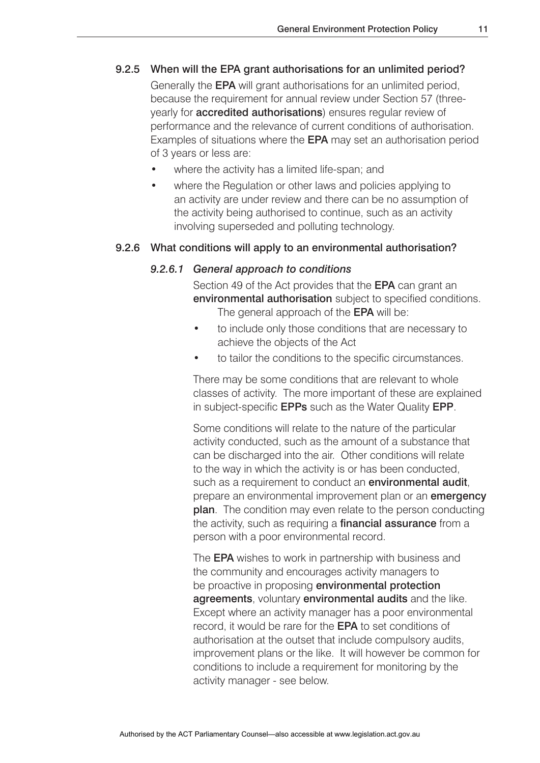#### 9.2.5 When will the EPA grant authorisations for an unlimited period?

 Generally the EPA will grant authorisations for an unlimited period, because the requirement for annual review under Section 57 (three yearly for **accredited authorisations**) ensures regular review of performance and the relevance of current conditions of authorisation. Examples of situations where the EPA may set an authorisation period of 3 years or less are:

- where the activity has a limited life-span; and
- where the Regulation or other laws and policies applying to an activity are under review and there can be no assumption of the activity being authorised to continue, such as an activity involving superseded and polluting technology.

#### 9.2.6 What conditions will apply to an environmental authorisation?

#### *9.2.6.1 General approach to conditions*

Section 49 of the Act provides that the **EPA** can grant an environmental authorisation subject to specified conditions. The general approach of the **EPA** will be:

- to include only those conditions that are necessary to achieve the objects of the Act
- to tailor the conditions to the specific circumstances.

 There may be some conditions that are relevant to whole classes of activity. The more important of these are explained in subject-specific EPPs such as the Water Quality EPP.

 Some conditions will relate to the nature of the particular activity conducted, such as the amount of a substance that can be discharged into the air. Other conditions will relate to the way in which the activity is or has been conducted, such as a requirement to conduct an **environmental audit**. prepare an environmental improvement plan or an **emergency** plan. The condition may even relate to the person conducting the activity, such as requiring a **financial assurance** from a person with a poor environmental record.

 The EPA wishes to work in partnership with business and the community and encourages activity managers to be proactive in proposing **environmental protection** agreements, voluntary environmental audits and the like. Except where an activity manager has a poor environmental record, it would be rare for the EPA to set conditions of authorisation at the outset that include compulsory audits, improvement plans or the like. It will however be common for conditions to include a requirement for monitoring by the activity manager - see below.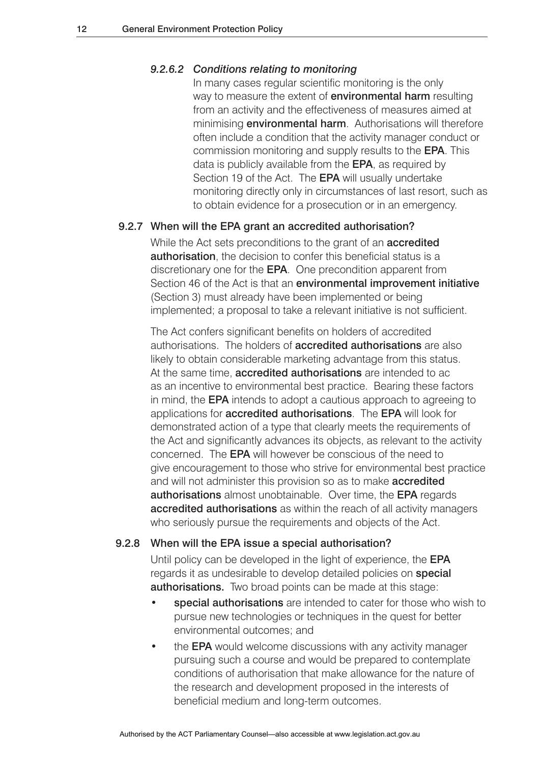#### *9.2.6.2 Conditions relating to monitoring*

 In many cases regular scientific monitoring is the only way to measure the extent of **environmental harm** resulting from an activity and the effectiveness of measures aimed at minimising **environmental harm**. Authorisations will therefore often include a condition that the activity manager conduct or commission monitoring and supply results to the EPA. This data is publicly available from the **EPA**, as required by Section 19 of the Act. The **EPA** will usually undertake monitoring directly only in circumstances of last resort, such as to obtain evidence for a prosecution or in an emergency.

#### 9.2.7 When will the EPA grant an accredited authorisation?

While the Act sets preconditions to the grant of an **accredited authorisation**, the decision to confer this beneficial status is a discretionary one for the **EPA**. One precondition apparent from Section 46 of the Act is that an environmental improvement initiative (Section 3) must already have been implemented or being implemented; a proposal to take a relevant initiative is not sufficient.

 The Act confers significant benefits on holders of accredited authorisations. The holders of accredited authorisations are also likely to obtain considerable marketing advantage from this status. At the same time, **accredited authorisations** are intended to ac as an incentive to environmental best practice. Bearing these factors in mind, the EPA intends to adopt a cautious approach to agreeing to applications for accredited authorisations. The EPA will look for demonstrated action of a type that clearly meets the requirements of the Act and significantly advances its objects, as relevant to the activity concerned. The EPA will however be conscious of the need to give encouragement to those who strive for environmental best practice and will not administer this provision so as to make **accredited** authorisations almost unobtainable. Over time, the EPA regards accredited authorisations as within the reach of all activity managers who seriously pursue the requirements and objects of the Act.

#### 9.2.8 When will the EPA issue a special authorisation?

 Until policy can be developed in the light of experience, the EPA regards it as undesirable to develop detailed policies on **special** authorisations. Two broad points can be made at this stage:

- special authorisations are intended to cater for those who wish to pursue new technologies or techniques in the quest for better environmental outcomes; and
- the **EPA** would welcome discussions with any activity manager pursuing such a course and would be prepared to contemplate conditions of authorisation that make allowance for the nature of the research and development proposed in the interests of beneficial medium and long-term outcomes.

Authorised by the ACT Parliamentary Counsel—also accessible at www.legislation.act.gov.au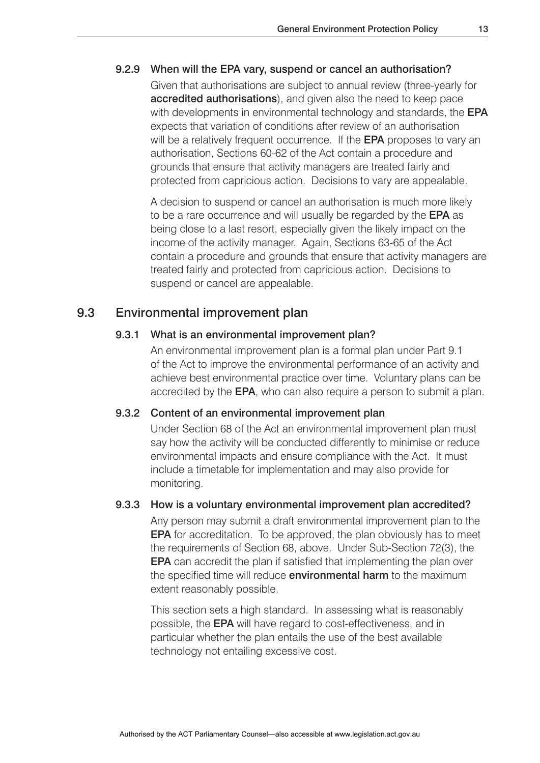#### 9.2.9 When will the EPA vary, suspend or cancel an authorisation?

 Given that authorisations are subject to annual review (three-yearly for accredited authorisations), and given also the need to keep pace with developments in environmental technology and standards, the **EPA**  expects that variation of conditions after review of an authorisation will be a relatively frequent occurrence. If the **EPA** proposes to vary an authorisation, Sections 60-62 of the Act contain a procedure and grounds that ensure that activity managers are treated fairly and protected from capricious action. Decisions to vary are appealable.

 A decision to suspend or cancel an authorisation is much more likely to be a rare occurrence and will usually be regarded by the **EPA** as being close to a last resort, especially given the likely impact on the income of the activity manager. Again, Sections 63-65 of the Act contain a procedure and grounds that ensure that activity managers are treated fairly and protected from capricious action. Decisions to suspend or cancel are appealable.

# 9.3 Environmental improvement plan

#### 9.3.1 What is an environmental improvement plan?

 An environmental improvement plan is a formal plan under Part 9.1 of the Act to improve the environmental performance of an activity and achieve best environmental practice over time. Voluntary plans can be accredited by the EPA, who can also require a person to submit a plan.

#### 9.3.2 Content of an environmental improvement plan

 Under Section 68 of the Act an environmental improvement plan must say how the activity will be conducted differently to minimise or reduce environmental impacts and ensure compliance with the Act. It must include a timetable for implementation and may also provide for monitoring.

#### 9.3.3 How is a voluntary environmental improvement plan accredited?

 Any person may submit a draft environmental improvement plan to the EPA for accreditation. To be approved, the plan obviously has to meet the requirements of Section 68, above. Under Sub-Section 72(3), the EPA can accredit the plan if satisfied that implementing the plan over the specified time will reduce **environmental harm** to the maximum extent reasonably possible.

 This section sets a high standard. In assessing what is reasonably possible, the EPA will have regard to cost-effectiveness, and in particular whether the plan entails the use of the best available technology not entailing excessive cost.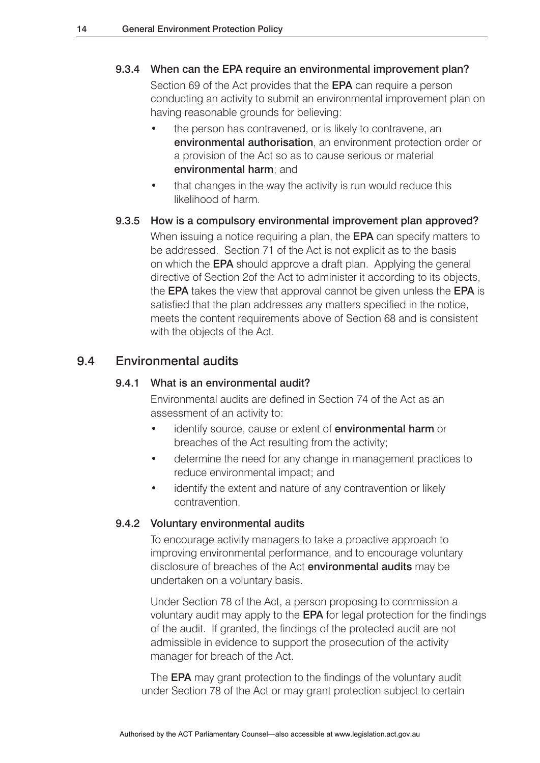#### 9.3.4 When can the EPA require an environmental improvement plan?

Section 69 of the Act provides that the **EPA** can require a person conducting an activity to submit an environmental improvement plan on having reasonable grounds for believing:

- the person has contravened, or is likely to contravene, an environmental authorisation, an environment protection order or a provision of the Act so as to cause serious or material environmental harm; and
- that changes in the way the activity is run would reduce this likelihood of harm.

# 9.3.5 How is a compulsory environmental improvement plan approved?

When issuing a notice requiring a plan, the **EPA** can specify matters to be addressed. Section 71 of the Act is not explicit as to the basis on which the EPA should approve a draft plan. Applying the general directive of Section 2of the Act to administer it according to its objects, the EPA takes the view that approval cannot be given unless the EPA is satisfied that the plan addresses any matters specified in the notice, meets the content requirements above of Section 68 and is consistent with the objects of the Act.

### 9.4 Environmental audits

#### 9.4.1 What is an environmental audit?

 Environmental audits are defined in Section 74 of the Act as an assessment of an activity to:

- identify source, cause or extent of **environmental harm** or breaches of the Act resulting from the activity;
- determine the need for any change in management practices to reduce environmental impact; and
- identify the extent and nature of any contravention or likely contravention.

#### 9.4.2 Voluntary environmental audits

 To encourage activity managers to take a proactive approach to improving environmental performance, and to encourage voluntary disclosure of breaches of the Act **environmental audits** may be undertaken on a voluntary basis.

 Under Section 78 of the Act, a person proposing to commission a voluntary audit may apply to the EPA for legal protection for the findings of the audit. If granted, the findings of the protected audit are not admissible in evidence to support the prosecution of the activity manager for breach of the Act.

The **EPA** may grant protection to the findings of the voluntary audit under Section 78 of the Act or may grant protection subject to certain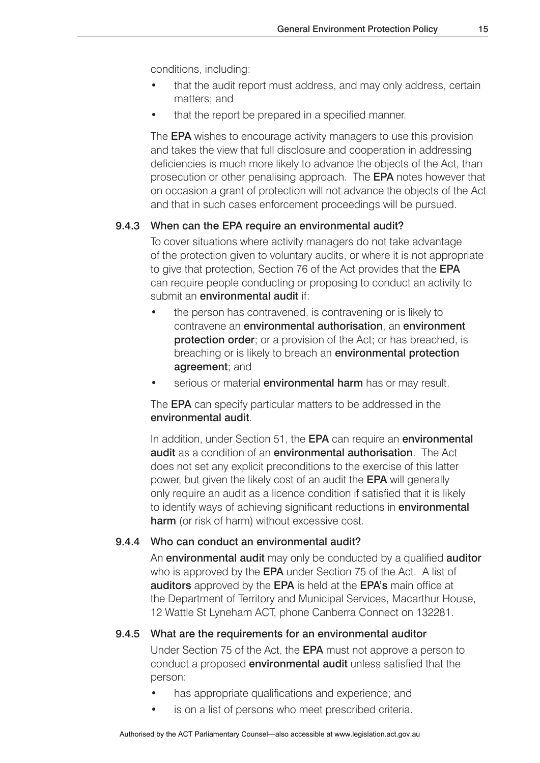conditions, including:

- that the audit report must address, and may only address, certain matters; and
- that the report be prepared in a specified manner.

 The EPA wishes to encourage activity managers to use this provision and takes the view that full disclosure and cooperation in addressing deficiencies is much more likely to advance the objects of the Act, than prosecution or other penalising approach. The EPA notes however that on occasion a grant of protection will not advance the objects of the Act and that in such cases enforcement proceedings will be pursued.

#### 9.4.3 When can the EPA require an environmental audit?

 To cover situations where activity managers do not take advantage of the protection given to voluntary audits, or where it is not appropriate to give that protection, Section 76 of the Act provides that the **EPA**  can require people conducting or proposing to conduct an activity to submit an **environmental audit** if:

- the person has contravened, is contravening or is likely to contravene an environmental authorisation, an environment **protection order**; or a provision of the Act; or has breached, is breaching or is likely to breach an **environmental protection** agreement; and
- serious or material **environmental harm** has or may result.

The **EPA** can specify particular matters to be addressed in the environmental audit.

In addition, under Section 51, the **EPA** can require an **environmental** audit as a condition of an environmental authorisation. The Act does not set any explicit preconditions to the exercise of this latter power, but given the likely cost of an audit the EPA will generally only require an audit as a licence condition if satisfied that it is likely to identify ways of achieving significant reductions in **environmental** harm (or risk of harm) without excessive cost.

#### 9.4.4 Who can conduct an environmental audit?

An **environmental audit** may only be conducted by a qualified **auditor** who is approved by the **EPA** under Section 75 of the Act. A list of auditors approved by the EPA is held at the EPA's main office at the Department of Territory and Municipal Services, Macarthur House, 12 Wattle St Lyneham ACT, phone Canberra Connect on 132281.

#### 9.4.5 What are the requirements for an environmental auditor

 Under Section 75 of the Act, the EPA must not approve a person to conduct a proposed environmental audit unless satisfied that the person:

- has appropriate qualifications and experience; and
- is on a list of persons who meet prescribed criteria.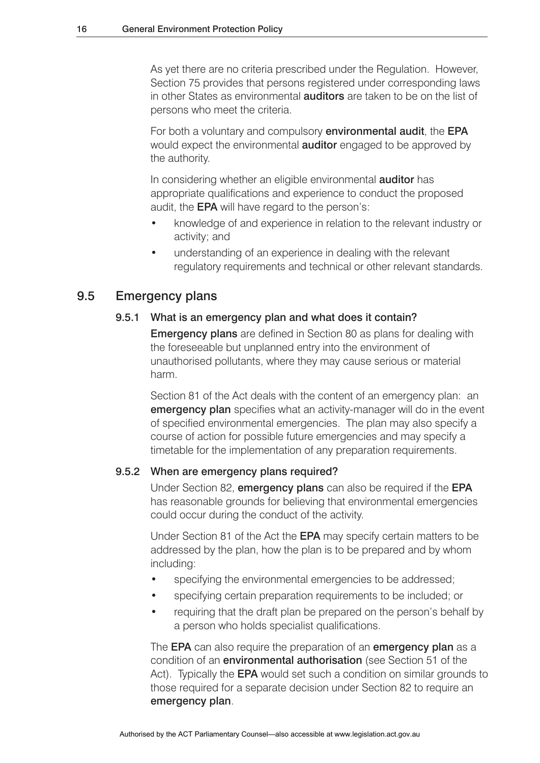As yet there are no criteria prescribed under the Regulation. However, Section 75 provides that persons registered under corresponding laws in other States as environmental auditors are taken to be on the list of persons who meet the criteria.

 For both a voluntary and compulsory environmental audit, the EPA would expect the environmental auditor engaged to be approved by the authority.

In considering whether an eligible environmental **auditor** has appropriate qualifications and experience to conduct the proposed audit, the EPA will have regard to the person's:

- knowledge of and experience in relation to the relevant industry or activity; and
- understanding of an experience in dealing with the relevant regulatory requirements and technical or other relevant standards.

### 9.5 Emergency plans

#### 9.5.1 What is an emergency plan and what does it contain?

 Emergency plans are defined in Section 80 as plans for dealing with the foreseeable but unplanned entry into the environment of unauthorised pollutants, where they may cause serious or material harm.

Section 81 of the Act deals with the content of an emergency plan: an **emergency plan** specifies what an activity-manager will do in the event of specified environmental emergencies. The plan may also specify a course of action for possible future emergencies and may specify a timetable for the implementation of any preparation requirements.

#### 9.5.2 When are emergency plans required?

Under Section 82, **emergency plans** can also be required if the **EPA**  has reasonable grounds for believing that environmental emergencies could occur during the conduct of the activity.

 Under Section 81 of the Act the EPA may specify certain matters to be addressed by the plan, how the plan is to be prepared and by whom including:

- specifying the environmental emergencies to be addressed;
- specifying certain preparation requirements to be included; or
- requiring that the draft plan be prepared on the person's behalf by a person who holds specialist qualifications.

The **EPA** can also require the preparation of an **emergency plan** as a condition of an environmental authorisation (see Section 51 of the Act). Typically the **EPA** would set such a condition on similar grounds to those required for a separate decision under Section 82 to require an emergency plan.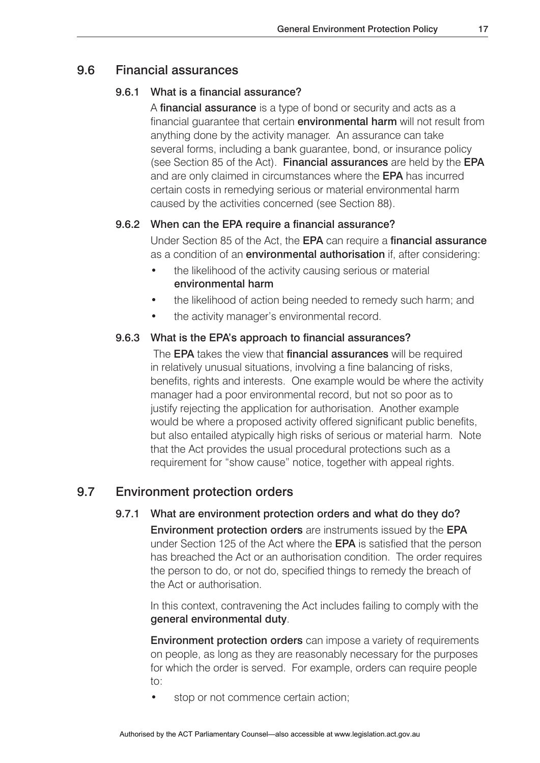### 9.6 Financial assurances

#### 9.6.1 What is a financial assurance?

 A financial assurance is a type of bond or security and acts as a financial quarantee that certain **environmental harm** will not result from anything done by the activity manager. An assurance can take several forms, including a bank guarantee, bond, or insurance policy (see Section 85 of the Act). Financial assurances are held by the EPA and are only claimed in circumstances where the EPA has incurred certain costs in remedying serious or material environmental harm caused by the activities concerned (see Section 88).

### 9.6.2 When can the EPA require a financial assurance?

 Under Section 85 of the Act, the EPA can require a financial assurance as a condition of an **environmental authorisation** if, after considering:

- the likelihood of the activity causing serious or material environmental harm
- the likelihood of action being needed to remedy such harm; and
- the activity manager's environmental record.

#### 9.6.3 What is the EPA's approach to financial assurances?

The **EPA** takes the view that **financial assurances** will be required in relatively unusual situations, involving a fine balancing of risks, benefits, rights and interests. One example would be where the activity manager had a poor environmental record, but not so poor as to justify rejecting the application for authorisation. Another example would be where a proposed activity offered significant public benefits, but also entailed atypically high risks of serious or material harm. Note that the Act provides the usual procedural protections such as a requirement for "show cause" notice, together with appeal rights.

### 9.7 Environment protection orders

#### 9.7.1 What are environment protection orders and what do they do?

 Environment protection orders are instruments issued by the EPA under Section 125 of the Act where the EPA is satisfied that the person has breached the Act or an authorisation condition. The order requires the person to do, or not do, specified things to remedy the breach of the Act or authorisation.

 In this context, contravening the Act includes failing to comply with the general environmental duty.

**Environment protection orders** can impose a variety of requirements on people, as long as they are reasonably necessary for the purposes for which the order is served. For example, orders can require people to:

stop or not commence certain action;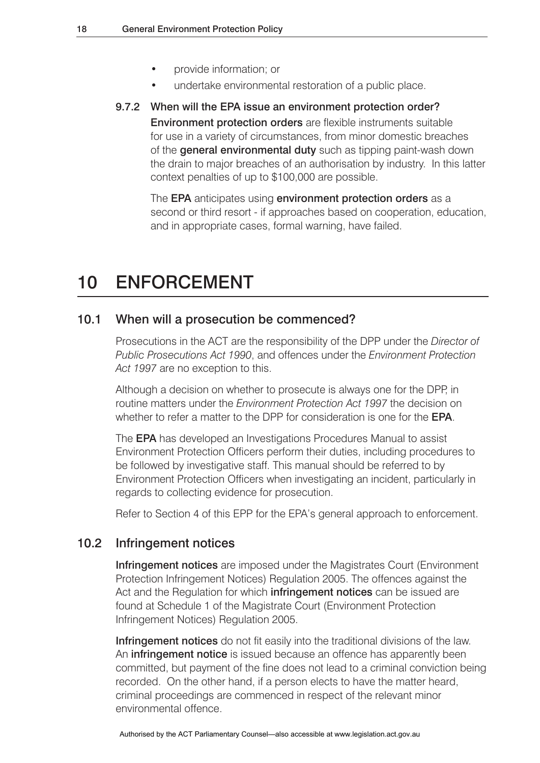- provide information; or
- undertake environmental restoration of a public place.
- 9.7.2 When will the EPA issue an environment protection order? Environment protection orders are flexible instruments suitable for use in a variety of circumstances, from minor domestic breaches of the general environmental duty such as tipping paint-wash down the drain to major breaches of an authorisation by industry. In this latter context penalties of up to \$100,000 are possible.

The **EPA** anticipates using **environment protection orders** as a second or third resort - if approaches based on cooperation, education, and in appropriate cases, formal warning, have failed.

# 10 ENFORCEMENT

### 10.1 When will a prosecution be commenced?

Prosecutions in the ACT are the responsibility of the DPP under the *Director of Public Prosecutions Act 1990*, and offences under the *Environment Protection Act 1997* are no exception to this.

Although a decision on whether to prosecute is always one for the DPP, in routine matters under the *Environment Protection Act 1997* the decision on whether to refer a matter to the DPP for consideration is one for the **EPA**.

The EPA has developed an Investigations Procedures Manual to assist Environment Protection Officers perform their duties, including procedures to be followed by investigative staff. This manual should be referred to by Environment Protection Officers when investigating an incident, particularly in regards to collecting evidence for prosecution.

Refer to Section 4 of this EPP for the EPA's general approach to enforcement.

### 10.2 Infringement notices

Infringement notices are imposed under the Magistrates Court (Environment Protection Infringement Notices) Regulation 2005. The offences against the Act and the Regulation for which **infringement notices** can be issued are found at Schedule 1 of the Magistrate Court (Environment Protection Infringement Notices) Regulation 2005.

Infringement notices do not fit easily into the traditional divisions of the law. An **infringement notice** is issued because an offence has apparently been committed, but payment of the fine does not lead to a criminal conviction being recorded. On the other hand, if a person elects to have the matter heard, criminal proceedings are commenced in respect of the relevant minor environmental offence.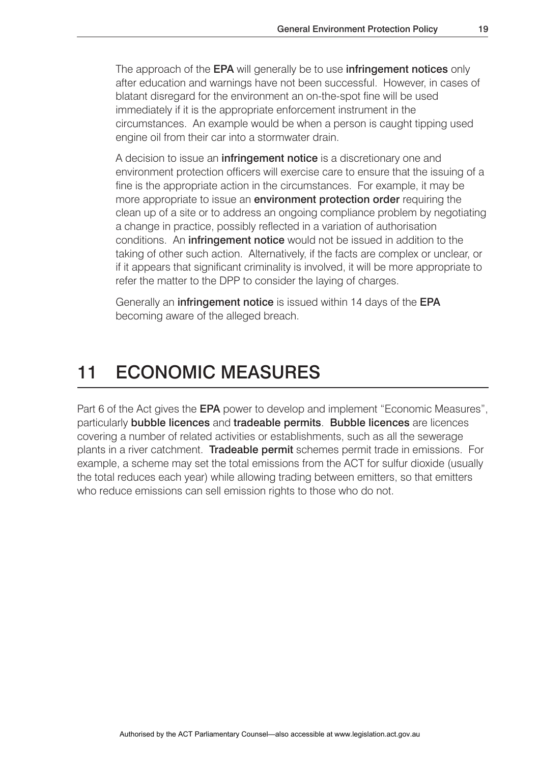The approach of the **EPA** will generally be to use **infringement notices** only after education and warnings have not been successful. However, in cases of blatant disregard for the environment an on-the-spot fine will be used immediately if it is the appropriate enforcement instrument in the circumstances. An example would be when a person is caught tipping used engine oil from their car into a stormwater drain.

A decision to issue an **infringement notice** is a discretionary one and environment protection officers will exercise care to ensure that the issuing of a fine is the appropriate action in the circumstances. For example, it may be more appropriate to issue an **environment protection order** requiring the clean up of a site or to address an ongoing compliance problem by negotiating a change in practice, possibly reflected in a variation of authorisation conditions. An **infringement notice** would not be issued in addition to the taking of other such action. Alternatively, if the facts are complex or unclear, or if it appears that significant criminality is involved, it will be more appropriate to refer the matter to the DPP to consider the laying of charges.

Generally an infringement notice is issued within 14 days of the EPA becoming aware of the alleged breach.

# 11 ECONOMIC MEASURES

Part 6 of the Act gives the **EPA** power to develop and implement "Economic Measures", particularly bubble licences and tradeable permits. Bubble licences are licences covering a number of related activities or establishments, such as all the sewerage plants in a river catchment. Tradeable permit schemes permit trade in emissions. For example, a scheme may set the total emissions from the ACT for sulfur dioxide (usually the total reduces each year) while allowing trading between emitters, so that emitters who reduce emissions can sell emission rights to those who do not.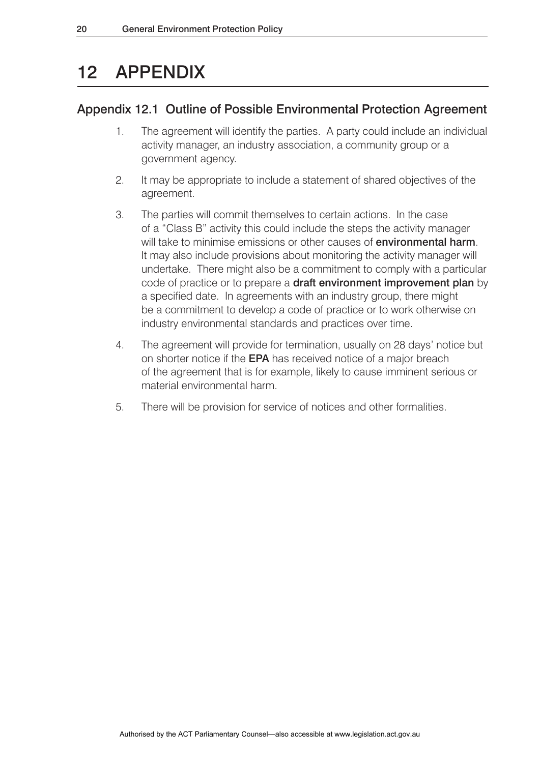# 12 APPENDIX

# Appendix 12.1 Outline of Possible Environmental Protection Agreement

- 1. The agreement will identify the parties. A party could include an individual activity manager, an industry association, a community group or a government agency.
- 2. It may be appropriate to include a statement of shared objectives of the agreement.
- 3. The parties will commit themselves to certain actions. In the case of a "Class B" activity this could include the steps the activity manager will take to minimise emissions or other causes of **environmental harm**. It may also include provisions about monitoring the activity manager will undertake. There might also be a commitment to comply with a particular code of practice or to prepare a draft environment improvement plan by a specified date. In agreements with an industry group, there might be a commitment to develop a code of practice or to work otherwise on industry environmental standards and practices over time.
- 4. The agreement will provide for termination, usually on 28 days' notice but on shorter notice if the EPA has received notice of a major breach of the agreement that is for example, likely to cause imminent serious or material environmental harm.
- 5. There will be provision for service of notices and other formalities.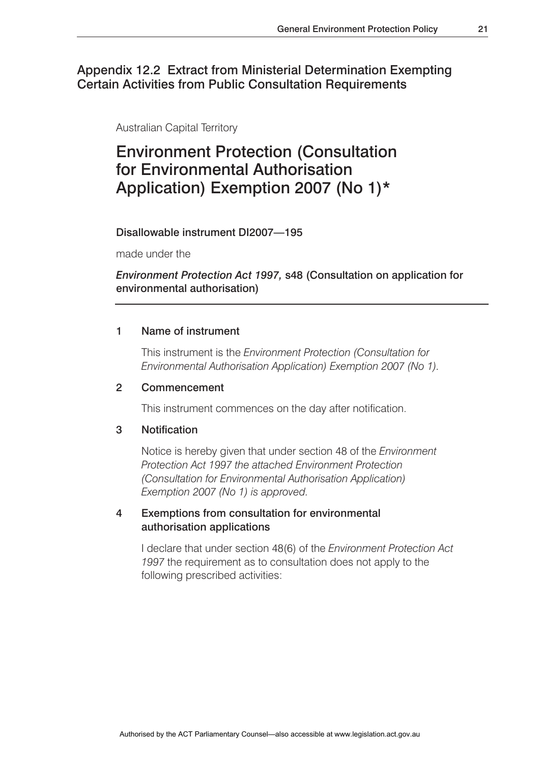### Appendix 12.2 Extract from Ministerial Determination Exempting Certain Activities from Public Consultation Requirements

Australian Capital Territory

# Environment Protection (Consultation for Environmental Authorisation Application) Exemption 2007 (No 1)\*

Disallowable instrument DI2007—195

made under the

### *Environment Protection Act 1997,* s48 (Consultation on application for environmental authorisation)

#### 1 Name of instrument

This instrument is the *Environment Protection (Consultation for Environmental Authorisation Application) Exemption 2007 (No 1).*

#### 2 Commencement

This instrument commences on the day after notification.

#### 3 Notification

Notice is hereby given that under section 48 of the *Environment Protection Act 1997 the attached Environment Protection (Consultation for Environmental Authorisation Application) Exemption 2007 (No 1) is approved.*

#### 4 Exemptions from consultation for environmental authorisation applications

I declare that under section 48(6) of the *Environment Protection Act 1997* the requirement as to consultation does not apply to the following prescribed activities: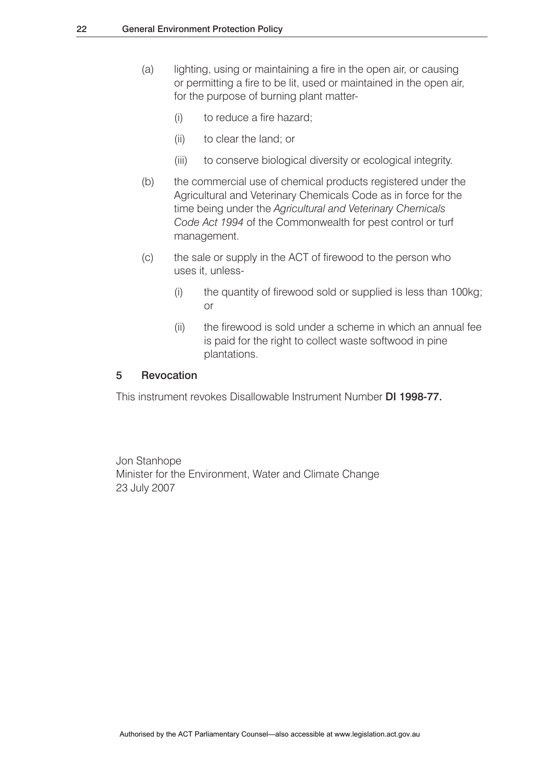- (a) lighting, using or maintaining a fire in the open air, or causing or permitting a fire to be lit, used or maintained in the open air, for the purpose of burning plant matter-
	- (i) to reduce a fire hazard;
	- (ii) to clear the land; or
	- (iii) to conserve biological diversity or ecological integrity.
- (b) the commercial use of chemical products registered under the Agricultural and Veterinary Chemicals Code as in force for the time being under the *Agricultural and Veterinary Chemicals Code Act 1994* of the Commonwealth for pest control or turf management.
- (c) the sale or supply in the ACT of firewood to the person who uses it, unless-
- (i) the quantity of firewood sold or supplied is less than 100kg; **or** and the state of the state of the state of the state of the state of the state of the state of the state of the state of the state of the state of the state of the state of the state of the state of the state of the s
	- (ii) the firewood is sold under a scheme in which an annual fee is paid for the right to collect waste softwood in pine plantations.

#### 5 Revocation

This instrument revokes Disallowable Instrument Number DI 1998-77.

Jon Stanhope Minister for the Environment, Water and Climate Change 23 July 2007